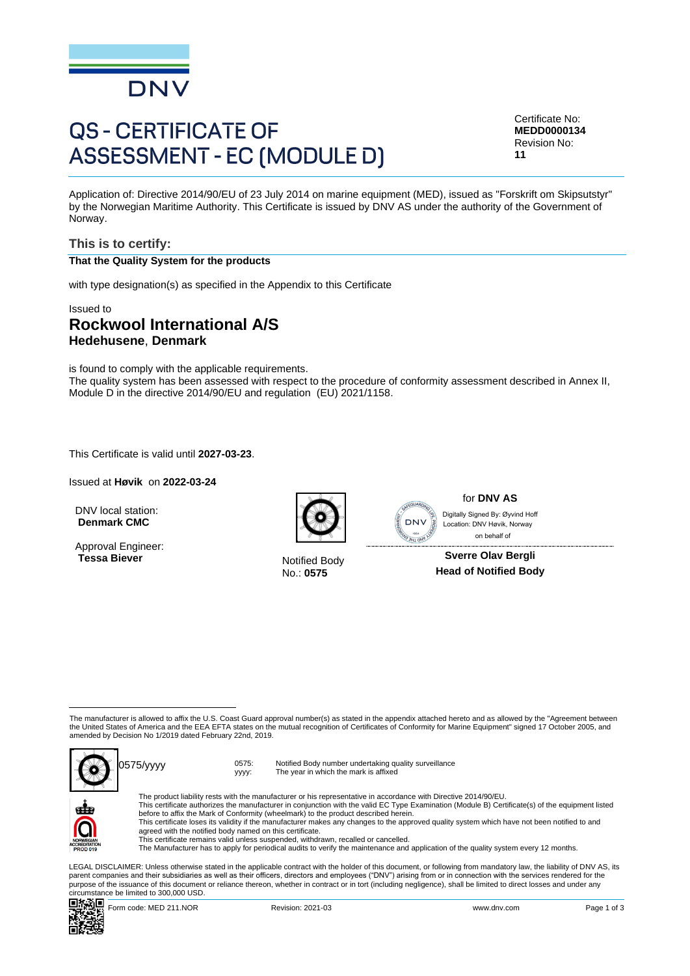

# **QS - CERTIFICATE OF ASSESSMENT - EC (MODULE D)**

Certificate No: **MEDD0000134** Revision No: **11**

Application of: Directive 2014/90/EU of 23 July 2014 on marine equipment (MED), issued as "Forskrift om Skipsutstyr" by the Norwegian Maritime Authority. This Certificate is issued by DNV AS under the authority of the Government of Norway.

### **This is to certify:**

#### **That the Quality System for the products**

with type designation(s) as specified in the Appendix to this Certificate

## Issued to **Rockwool International A/S**

**Hedehusene**, **Denmark**

is found to comply with the applicable requirements. The quality system has been assessed with respect to the procedure of conformity assessment described in Annex II, Module D in the directive 2014/90/EU and regulation (EU) 2021/1158.

This Certificate is valid until **2027-03-23**.

Issued at **Høvik** on **2022-03-24**

DNV local station: **Denmark CMC**

Approval Engineer: **Tessa Biever** Notified Body



No.: **0575**



for **DNV AS** Digitally Signed By: Øyvind Hoff

 on behalf of**Sverre Olav Bergli Head of Notified Body**

The manufacturer is allowed to affix the U.S. Coast Guard approval number(s) as stated in the appendix attached hereto and as allowed by the "Agreement between the United States of America and the EEA EFTA states on the mutual recognition of Certificates of Conformity for Marine Equipment" signed 17 October 2005, and amended by Decision No 1/2019 dated February 22nd, 2019.



yyyy:



Notified Body number undertaking quality surveillance The year in which the mark is affixed

The product liability rests with the manufacturer or his representative in accordance with Directive 2014/90/EU.<br>This certificate authorizes the manufacturer in conjunction with the valid EC Type Examination (Module B) Cer This certificate loses its validity if the manufacturer makes any changes to the approved quality system which have not been notified to and agreed with the notified body named on this certificate. This certificate remains valid unless suspended, withdrawn, recalled or cancelled.

The Manufacturer has to apply for periodical audits to verify the maintenance and application of the quality system every 12 months.

LEGAL DISCLAIMER: Unless otherwise stated in the applicable contract with the holder of this document, or following from mandatory law, the liability of DNV AS, its parent companies and their subsidiaries as well as their officers, directors and employees ("DNV") arising from or in connection with the services rendered for the purpose of the issuance of this document or reliance thereon, whether in contract or in tort (including negligence), shall be limited to direct losses and under any circumstance be limited to 300,000 USD.

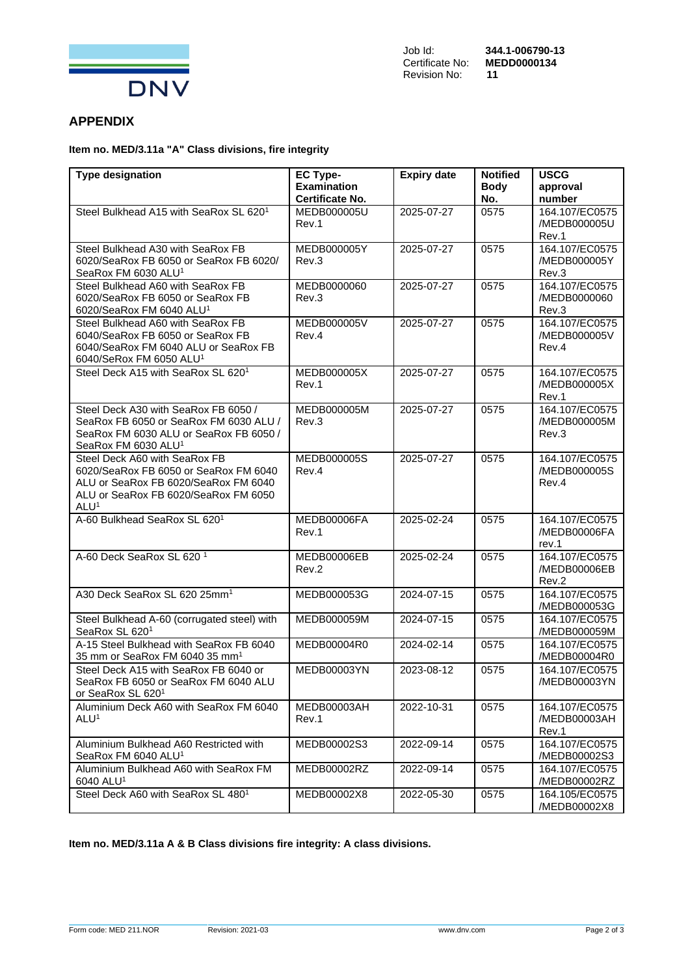

# **APPENDIX**

## **Item no. MED/3.11a "A" Class divisions, fire integrity**

| <b>Type designation</b>                                                                                                                                                    | <b>EC Type-</b><br><b>Examination</b> | <b>Expiry date</b> | <b>Notified</b><br><b>Body</b> | <b>USCG</b><br>approval                 |
|----------------------------------------------------------------------------------------------------------------------------------------------------------------------------|---------------------------------------|--------------------|--------------------------------|-----------------------------------------|
|                                                                                                                                                                            | <b>Certificate No.</b>                |                    | No.                            | number                                  |
| Steel Bulkhead A15 with SeaRox SL 6201                                                                                                                                     | MEDB000005U<br>Rev.1                  | 2025-07-27         | 0575                           | 164.107/EC0575<br>/MEDB000005U<br>Rev.1 |
| Steel Bulkhead A30 with SeaRox FB<br>6020/SeaRox FB 6050 or SeaRox FB 6020/<br>SeaRox FM 6030 ALU <sup>1</sup>                                                             | MEDB000005Y<br>Rev.3                  | 2025-07-27         | 0575                           | 164.107/EC0575<br>/MEDB000005Y<br>Rev.3 |
| Steel Bulkhead A60 with SeaRox FB<br>6020/SeaRox FB 6050 or SeaRox FB<br>6020/SeaRox FM 6040 ALU <sup>1</sup>                                                              | MEDB0000060<br>Rev.3                  | 2025-07-27         | 0575                           | 164.107/EC0575<br>/MEDB0000060<br>Rev.3 |
| Steel Bulkhead A60 with SeaRox FB<br>6040/SeaRox FB 6050 or SeaRox FB<br>6040/SeaRox FM 6040 ALU or SeaRox FB<br>6040/SeRox FM 6050 ALU <sup>1</sup>                       | MEDB000005V<br>Rev.4                  | 2025-07-27         | 0575                           | 164.107/EC0575<br>/MEDB000005V<br>Rev.4 |
| Steel Deck A15 with SeaRox SL 6201                                                                                                                                         | MEDB000005X<br>Rev.1                  | 2025-07-27         | 0575                           | 164.107/EC0575<br>/MEDB000005X<br>Rev.1 |
| Steel Deck A30 with SeaRox FB 6050 /<br>SeaRox FB 6050 or SeaRox FM 6030 ALU /<br>SeaRox FM 6030 ALU or SeaRox FB 6050 /<br>SeaRox FM 6030 ALU <sup>1</sup>                | MEDB000005M<br>Rev.3                  | 2025-07-27         | 0575                           | 164.107/EC0575<br>/MEDB000005M<br>Rev.3 |
| Steel Deck A60 with SeaRox FB<br>6020/SeaRox FB 6050 or SeaRox FM 6040<br>ALU or SeaRox FB 6020/SeaRox FM 6040<br>ALU or SeaRox FB 6020/SeaRox FM 6050<br>ALU <sup>1</sup> | MEDB000005S<br>Rev.4                  | 2025-07-27         | 0575                           | 164.107/EC0575<br>/MEDB000005S<br>Rev.4 |
| A-60 Bulkhead SeaRox SL 6201                                                                                                                                               | MEDB00006FA<br>Rev.1                  | 2025-02-24         | 0575                           | 164.107/EC0575<br>/MEDB00006FA<br>rev.1 |
| A-60 Deck SeaRox SL 620 <sup>1</sup>                                                                                                                                       | MEDB00006EB<br>Rev.2                  | 2025-02-24         | 0575                           | 164.107/EC0575<br>/MEDB00006EB<br>Rev.2 |
| A30 Deck SeaRox SL 620 25mm <sup>1</sup>                                                                                                                                   | MEDB000053G                           | 2024-07-15         | 0575                           | 164.107/EC0575<br>/MEDB000053G          |
| Steel Bulkhead A-60 (corrugated steel) with<br>SeaRox SL 6201                                                                                                              | MEDB000059M                           | 2024-07-15         | 0575                           | 164.107/EC0575<br>/MEDB000059M          |
| A-15 Steel Bulkhead with SeaRox FB 6040<br>35 mm or SeaRox FM 6040 35 mm <sup>1</sup>                                                                                      | MEDB00004R0                           | 2024-02-14         | 0575                           | 164.107/EC0575<br>/MEDB00004R0          |
| Steel Deck A15 with SeaRox FB 6040 or<br>SeaRox FB 6050 or SeaRox FM 6040 ALU<br>or SeaRox SL 6201                                                                         | <b>MEDB00003YN</b>                    | 2023-08-12         | 0575                           | 164.107/EC0575<br>/MEDB00003YN          |
| Aluminium Deck A60 with SeaRox FM 6040<br>ALU <sup>1</sup>                                                                                                                 | MEDB00003AH<br>Rev.1                  | 2022-10-31         | 0575                           | 164.107/EC0575<br>/MEDB00003AH<br>Rev.1 |
| Aluminium Bulkhead A60 Restricted with<br>SeaRox FM 6040 ALU <sup>1</sup>                                                                                                  | MEDB00002S3                           | 2022-09-14         | 0575                           | 164.107/EC0575<br>/MEDB00002S3          |
| Aluminium Bulkhead A60 with SeaRox FM<br>6040 ALU <sup>1</sup>                                                                                                             | MEDB00002RZ                           | 2022-09-14         | 0575                           | 164.107/EC0575<br>/MEDB00002RZ          |
| Steel Deck A60 with SeaRox SL 480 <sup>1</sup>                                                                                                                             | MEDB00002X8                           | 2022-05-30         | 0575                           | 164.105/EC0575<br>/MEDB00002X8          |

#### **Item no. MED/3.11a A & B Class divisions fire integrity: A class divisions.**